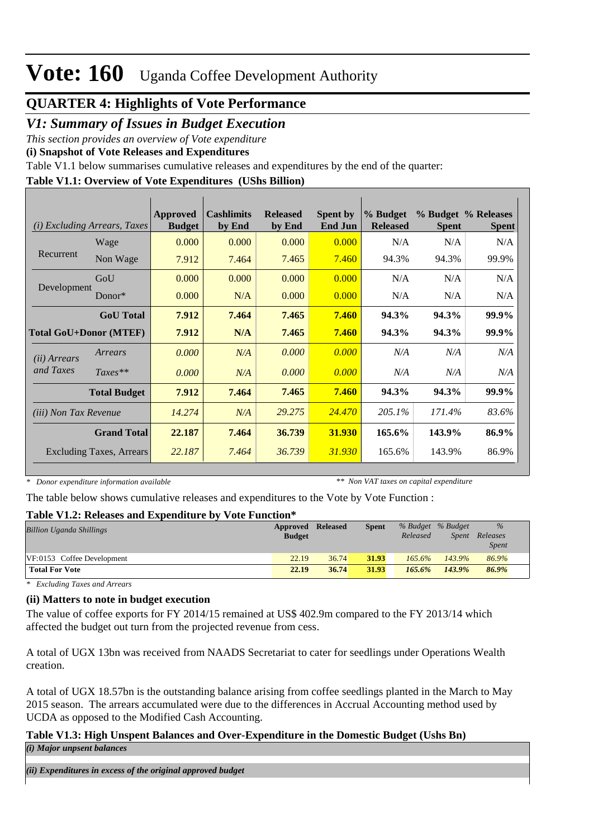#### **QUARTER 4: Highlights of Vote Performance**

#### *V1: Summary of Issues in Budget Execution*

*This section provides an overview of Vote expenditure* 

**(i) Snapshot of Vote Releases and Expenditures**

Table V1.1 below summarises cumulative releases and expenditures by the end of the quarter:

#### **Table V1.1: Overview of Vote Expenditures (UShs Billion)**

| (i)                           | <b>Excluding Arrears, Taxes</b> | Approved<br><b>Budget</b> | <b>Cashlimits</b><br>by End | <b>Released</b><br>by End | <b>Spent by</b><br><b>End Jun</b> | % Budget<br><b>Released</b> | <b>Spent</b> | % Budget % Releases<br><b>Spent</b> |
|-------------------------------|---------------------------------|---------------------------|-----------------------------|---------------------------|-----------------------------------|-----------------------------|--------------|-------------------------------------|
|                               | Wage                            | 0.000                     | 0.000                       | 0.000                     | 0.000                             | N/A                         | N/A          | N/A                                 |
| Recurrent                     | Non Wage                        | 7.912                     | 7.464                       | 7.465                     | 7.460                             | 94.3%                       | 94.3%        | 99.9%                               |
|                               | GoU                             | 0.000                     | 0.000                       | 0.000                     | 0.000                             | N/A                         | N/A          | N/A                                 |
| Development                   | $Donor*$                        | 0.000                     | N/A                         | 0.000                     | 0.000                             | N/A                         | N/A          | N/A                                 |
|                               | <b>GoU</b> Total                | 7.912                     | 7.464                       | 7.465                     | 7.460                             | 94.3%                       | 94.3%        | 99.9%                               |
| <b>Total GoU+Donor (MTEF)</b> |                                 | 7.912                     | N/A                         | 7.465                     | 7.460                             | 94.3%                       | 94.3%        | 99.9%                               |
| ( <i>ii</i> ) Arrears         | Arrears                         | 0.000                     | N/A                         | 0.000                     | 0.000                             | N/A                         | N/A          | N/A                                 |
| and Taxes                     | $Taxes**$                       | 0.000                     | N/A                         | 0.000                     | 0.000                             | N/A                         | N/A          | N/A                                 |
|                               | <b>Total Budget</b>             | 7.912                     | 7.464                       | 7.465                     | 7.460                             | 94.3%                       | 94.3%        | 99.9%                               |
| <i>(iii)</i> Non Tax Revenue  |                                 | 14.274                    | N/A                         | 29.275                    | 24.470                            | 205.1%                      | 171.4%       | 83.6%                               |
|                               | <b>Grand Total</b>              | 22.187                    | 7.464                       | 36.739                    | 31.930                            | 165.6%                      | 143.9%       | 86.9%                               |
|                               | <b>Excluding Taxes, Arrears</b> | 22.187                    | 7.464                       | 36.739                    | 31.930                            | 165.6%                      | 143.9%       | 86.9%                               |

*\* Donor expenditure information available*

*\*\* Non VAT taxes on capital expenditure*

The table below shows cumulative releases and expenditures to the Vote by Vote Function :

#### **Table V1.2: Releases and Expenditure by Vote Function\***

| Approved      | <b>Released</b> | <b>Spent</b> |           |              | $\%$              |  |
|---------------|-----------------|--------------|-----------|--------------|-------------------|--|
| <b>Budget</b> |                 |              | Released  | <i>Spent</i> | Releases          |  |
|               |                 |              |           |              | <i>Spent</i>      |  |
| 22.19         | 36.74           | 31.93        | $165.6\%$ | $143.9\%$    | 86.9%             |  |
| 22.19         | 36.74           | 31.93        | 165.6%    | 143.9%       | 86.9%             |  |
|               |                 |              |           |              | % Budget % Budget |  |

*\* Excluding Taxes and Arrears*

#### **(ii) Matters to note in budget execution**

The value of coffee exports for FY 2014/15 remained at US\$ 402.9m compared to the FY 2013/14 which affected the budget out turn from the projected revenue from cess.

A total of UGX 13bn was received from NAADS Secretariat to cater for seedlings under Operations Wealth creation.

A total of UGX 18.57bn is the outstanding balance arising from coffee seedlings planted in the March to May 2015 season. The arrears accumulated were due to the differences in Accrual Accounting method used by UCDA as opposed to the Modified Cash Accounting.

#### **Table V1.3: High Unspent Balances and Over-Expenditure in the Domestic Budget (Ushs Bn)** *(i) Major unpsent balances*

*(ii) Expenditures in excess of the original approved budget*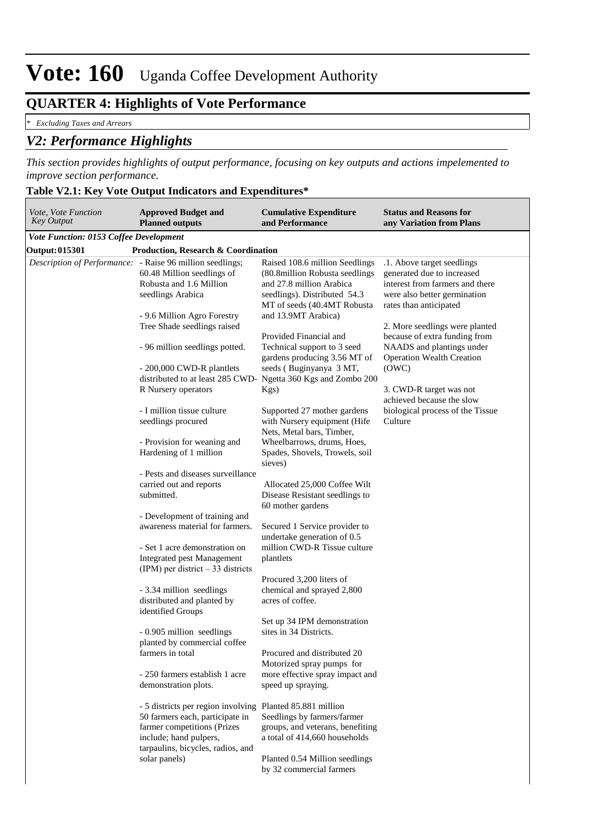#### **QUARTER 4: Highlights of Vote Performance**

*\* Excluding Taxes and Arrears*

#### *V2: Performance Highlights*

*This section provides highlights of output performance, focusing on key outputs and actions impelemented to improve section performance.*

#### **Table V2.1: Key Vote Output Indicators and Expenditures\***

| Vote, Vote Function<br><b>Key Output</b>                          | <b>Approved Budget and</b><br><b>Planned outputs</b>                                                                                                                | <b>Cumulative Expenditure</b><br>and Performance                                                                                                             | <b>Status and Reasons for</b><br>any Variation from Plans                                                                                             |
|-------------------------------------------------------------------|---------------------------------------------------------------------------------------------------------------------------------------------------------------------|--------------------------------------------------------------------------------------------------------------------------------------------------------------|-------------------------------------------------------------------------------------------------------------------------------------------------------|
| <b>Vote Function: 0153 Coffee Development</b>                     |                                                                                                                                                                     |                                                                                                                                                              |                                                                                                                                                       |
| <b>Output:015301</b>                                              | <b>Production, Research &amp; Coordination</b>                                                                                                                      |                                                                                                                                                              |                                                                                                                                                       |
| <i>Description of Performance</i> : - Raise 96 million seedlings; | 60.48 Million seedlings of<br>Robusta and 1.6 Million<br>seedlings Arabica                                                                                          | Raised 108.6 million Seedlings<br>(80.8 million Robusta seedlings<br>and 27.8 million Arabica<br>seedlings). Distributed 54.3<br>MT of seeds (40.4MT Robusta | .1. Above target seedlings<br>generated due to increased<br>interest from farmers and there<br>were also better germination<br>rates than anticipated |
|                                                                   | - 9.6 Million Agro Forestry<br>Tree Shade seedlings raised<br>- 96 million seedlings potted.                                                                        | and 13.9MT Arabica)<br>Provided Financial and<br>Technical support to 3 seed                                                                                 | 2. More seedlings were planted<br>because of extra funding from<br>NAADS and plantings under                                                          |
|                                                                   | - 200,000 CWD-R plantlets<br>distributed to at least 285 CWD-                                                                                                       | gardens producing 3.56 MT of<br>seeds (Buginyanya 3 MT,<br>Ngetta 360 Kgs and Zombo 200                                                                      | <b>Operation Wealth Creation</b><br>(OWC)                                                                                                             |
|                                                                   | R Nursery operators<br>- I million tissue culture                                                                                                                   | $Kgs$ )<br>Supported 27 mother gardens                                                                                                                       | 3. CWD-R target was not<br>achieved because the slow<br>biological process of the Tissue                                                              |
|                                                                   | seedlings procured<br>- Provision for weaning and                                                                                                                   | with Nursery equipment (Hife<br>Nets, Metal bars, Timber,<br>Wheelbarrows, drums, Hoes,                                                                      | Culture                                                                                                                                               |
|                                                                   | Hardening of 1 million<br>- Pests and diseases surveillance                                                                                                         | Spades, Shovels, Trowels, soil<br>sieves)                                                                                                                    |                                                                                                                                                       |
|                                                                   | carried out and reports                                                                                                                                             | Allocated 25,000 Coffee Wilt                                                                                                                                 |                                                                                                                                                       |
|                                                                   | submitted.                                                                                                                                                          | Disease Resistant seedlings to<br>60 mother gardens                                                                                                          |                                                                                                                                                       |
|                                                                   | - Development of training and<br>awareness material for farmers.                                                                                                    | Secured 1 Service provider to<br>undertake generation of 0.5                                                                                                 |                                                                                                                                                       |
|                                                                   | - Set 1 acre demonstration on<br><b>Integrated pest Management</b><br>$(IPM)$ per district $-33$ districts                                                          | million CWD-R Tissue culture<br>plantlets                                                                                                                    |                                                                                                                                                       |
|                                                                   | - 3.34 million seedlings<br>distributed and planted by<br>identified Groups                                                                                         | Procured 3,200 liters of<br>chemical and sprayed 2,800<br>acres of coffee.                                                                                   |                                                                                                                                                       |
|                                                                   | - 0.905 million seedlings<br>planted by commercial coffee                                                                                                           | Set up 34 IPM demonstration<br>sites in 34 Districts.                                                                                                        |                                                                                                                                                       |
|                                                                   | farmers in total<br>- 250 farmers establish 1 acre                                                                                                                  | Procured and distributed 20<br>Motorized spray pumps for<br>more effective spray impact and                                                                  |                                                                                                                                                       |
|                                                                   | demonstration plots.                                                                                                                                                | speed up spraying.                                                                                                                                           |                                                                                                                                                       |
|                                                                   | - 5 districts per region involving<br>50 farmers each, participate in<br>farmer competitions (Prizes<br>include; hand pulpers,<br>tarpaulins, bicycles, radios, and | Planted 85.881 million<br>Seedlings by farmers/farmer<br>groups, and veterans, benefiting<br>a total of 414,660 households                                   |                                                                                                                                                       |
|                                                                   | solar panels)                                                                                                                                                       | Planted 0.54 Million seedlings<br>by 32 commercial farmers                                                                                                   |                                                                                                                                                       |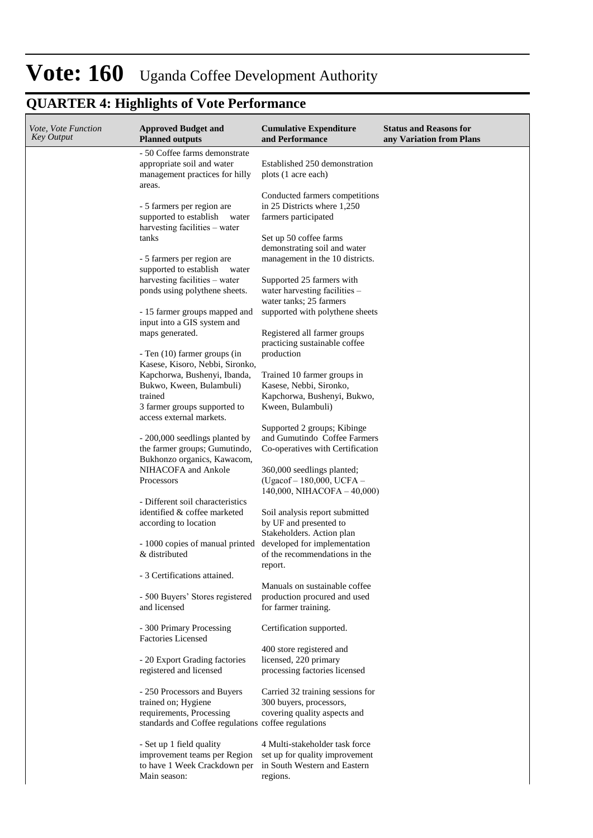### **QUARTER 4: Highlights of Vote Performance**

| <i>Vote, Vote Function</i><br>Key Output | <b>Approved Budget and</b><br><b>Planned outputs</b>                                                                                  | <b>Cumulative Expenditure</b><br>and Performance                                                             | <b>Status and Reasons for</b><br>any Variation from Plans |
|------------------------------------------|---------------------------------------------------------------------------------------------------------------------------------------|--------------------------------------------------------------------------------------------------------------|-----------------------------------------------------------|
|                                          | - 50 Coffee farms demonstrate<br>appropriate soil and water<br>management practices for hilly                                         | Established 250 demonstration<br>plots (1 acre each)                                                         |                                                           |
|                                          | areas.<br>- 5 farmers per region are<br>supported to establish<br>water<br>harvesting facilities – water                              | Conducted farmers competitions<br>in 25 Districts where 1,250<br>farmers participated                        |                                                           |
|                                          | tanks                                                                                                                                 | Set up 50 coffee farms<br>demonstrating soil and water                                                       |                                                           |
|                                          | - 5 farmers per region are<br>supported to establish<br>water<br>harvesting facilities – water                                        | management in the 10 districts.<br>Supported 25 farmers with                                                 |                                                           |
|                                          | ponds using polythene sheets.                                                                                                         | water harvesting facilities -<br>water tanks; 25 farmers                                                     |                                                           |
|                                          | - 15 farmer groups mapped and<br>input into a GIS system and<br>maps generated.                                                       | supported with polythene sheets<br>Registered all farmer groups                                              |                                                           |
|                                          | - Ten (10) farmer groups (in<br>Kasese, Kisoro, Nebbi, Sironko,                                                                       | practicing sustainable coffee<br>production                                                                  |                                                           |
|                                          | Kapchorwa, Bushenyi, Ibanda,<br>Bukwo, Kween, Bulambuli)<br>trained<br>3 farmer groups supported to                                   | Trained 10 farmer groups in<br>Kasese, Nebbi, Sironko,<br>Kapchorwa, Bushenyi, Bukwo,<br>Kween, Bulambuli)   |                                                           |
|                                          | access external markets.                                                                                                              | Supported 2 groups; Kibinge                                                                                  |                                                           |
|                                          | - 200,000 seedlings planted by<br>the farmer groups; Gumutindo,<br>Bukhonzo organics, Kawacom,                                        | and Gumutindo Coffee Farmers<br>Co-operatives with Certification                                             |                                                           |
|                                          | NIHACOFA and Ankole<br>Processors                                                                                                     | 360,000 seedlings planted;<br>(Ugacof – 180,000, UCFA –<br>$140,000$ , NIHACOFA $-40,000$                    |                                                           |
|                                          | - Different soil characteristics<br>identified & coffee marketed<br>according to location                                             | Soil analysis report submitted<br>by UF and presented to                                                     |                                                           |
|                                          | - 1000 copies of manual printed<br>& distributed                                                                                      | Stakeholders. Action plan<br>developed for implementation<br>of the recommendations in the<br>report.        |                                                           |
|                                          | - 3 Certifications attained.<br>- 500 Buyers' Stores registered<br>and licensed                                                       | Manuals on sustainable coffee<br>production procured and used<br>for farmer training.                        |                                                           |
|                                          | - 300 Primary Processing<br><b>Factories Licensed</b>                                                                                 | Certification supported.                                                                                     |                                                           |
|                                          | - 20 Export Grading factories<br>registered and licensed                                                                              | 400 store registered and<br>licensed, 220 primary<br>processing factories licensed                           |                                                           |
|                                          | - 250 Processors and Buyers<br>trained on; Hygiene<br>requirements, Processing<br>standards and Coffee regulations coffee regulations | Carried 32 training sessions for<br>300 buyers, processors,<br>covering quality aspects and                  |                                                           |
|                                          | - Set up 1 field quality<br>improvement teams per Region<br>to have 1 Week Crackdown per<br>Main season:                              | 4 Multi-stakeholder task force<br>set up for quality improvement<br>in South Western and Eastern<br>regions. |                                                           |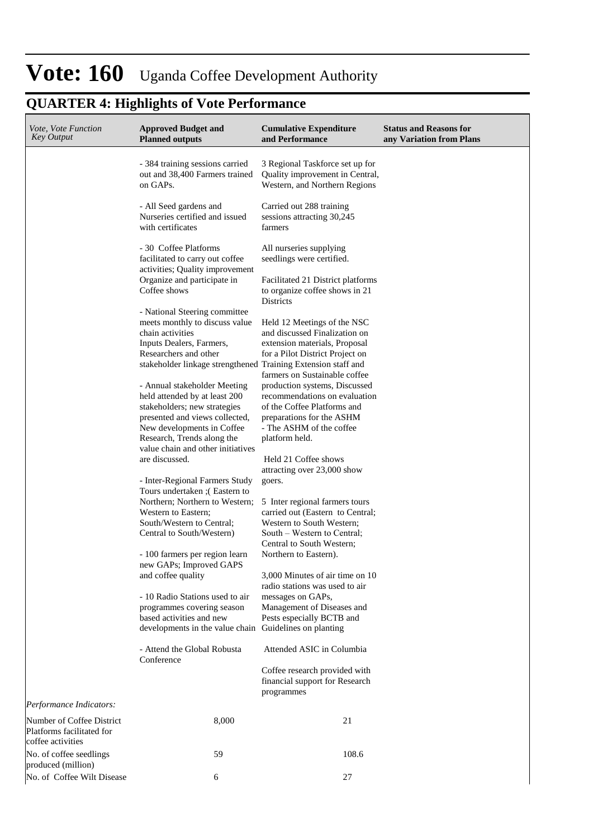### **QUARTER 4: Highlights of Vote Performance**

| Vote, Vote Function<br><b>Key Output</b>                                    | <b>Approved Budget and</b><br><b>Planned outputs</b>                                                                      | <b>Cumulative Expenditure</b><br>and Performance                                                                               | <b>Status and Reasons for</b><br>any Variation from Plans |
|-----------------------------------------------------------------------------|---------------------------------------------------------------------------------------------------------------------------|--------------------------------------------------------------------------------------------------------------------------------|-----------------------------------------------------------|
|                                                                             | - 384 training sessions carried<br>out and 38,400 Farmers trained<br>on GAPs.                                             | 3 Regional Taskforce set up for<br>Quality improvement in Central,<br>Western, and Northern Regions                            |                                                           |
|                                                                             | - All Seed gardens and<br>Nurseries certified and issued<br>with certificates                                             | Carried out 288 training<br>sessions attracting 30,245<br>farmers                                                              |                                                           |
|                                                                             | - 30 Coffee Platforms<br>facilitated to carry out coffee<br>activities; Quality improvement                               | All nurseries supplying<br>seedlings were certified.                                                                           |                                                           |
|                                                                             | Organize and participate in<br>Coffee shows                                                                               | Facilitated 21 District platforms<br>to organize coffee shows in 21<br>Districts                                               |                                                           |
|                                                                             | - National Steering committee<br>meets monthly to discuss value<br>chain activities                                       | Held 12 Meetings of the NSC<br>and discussed Finalization on                                                                   |                                                           |
|                                                                             | Inputs Dealers, Farmers,<br>Researchers and other<br>stakeholder linkage strengthened Training Extension staff and        | extension materials, Proposal<br>for a Pilot District Project on                                                               |                                                           |
|                                                                             | - Annual stakeholder Meeting<br>held attended by at least 200<br>stakeholders; new strategies                             | farmers on Sustainable coffee<br>production systems, Discussed<br>recommendations on evaluation<br>of the Coffee Platforms and |                                                           |
|                                                                             | presented and views collected,<br>New developments in Coffee<br>Research, Trends along the                                | preparations for the ASHM<br>- The ASHM of the coffee<br>platform held.                                                        |                                                           |
|                                                                             | value chain and other initiatives<br>are discussed.                                                                       | Held 21 Coffee shows<br>attracting over 23,000 show                                                                            |                                                           |
|                                                                             | - Inter-Regional Farmers Study<br>Tours undertaken : (Eastern to<br>Northern; Northern to Western;<br>Western to Eastern; | goers.<br>5 Inter regional farmers tours<br>carried out (Eastern to Central;                                                   |                                                           |
|                                                                             | South/Western to Central;<br>Central to South/Western)                                                                    | Western to South Western;<br>South – Western to Central;<br>Central to South Western;                                          |                                                           |
|                                                                             | - 100 farmers per region learn<br>new GAPs; Improved GAPS<br>and coffee quality                                           | Northern to Eastern).<br>3,000 Minutes of air time on 10                                                                       |                                                           |
|                                                                             | - 10 Radio Stations used to air<br>programmes covering season                                                             | radio stations was used to air<br>messages on GAPs,<br>Management of Diseases and                                              |                                                           |
|                                                                             | based activities and new<br>developments in the value chain Guidelines on planting                                        | Pests especially BCTB and                                                                                                      |                                                           |
|                                                                             | - Attend the Global Robusta<br>Conference                                                                                 | Attended ASIC in Columbia<br>Coffee research provided with                                                                     |                                                           |
| Performance Indicators:                                                     |                                                                                                                           | financial support for Research<br>programmes                                                                                   |                                                           |
| Number of Coffee District<br>Platforms facilitated for<br>coffee activities | 8,000                                                                                                                     | 21                                                                                                                             |                                                           |
| No. of coffee seedlings<br>produced (million)                               | 59                                                                                                                        | 108.6                                                                                                                          |                                                           |
| No. of Coffee Wilt Disease                                                  | 6                                                                                                                         | 27                                                                                                                             |                                                           |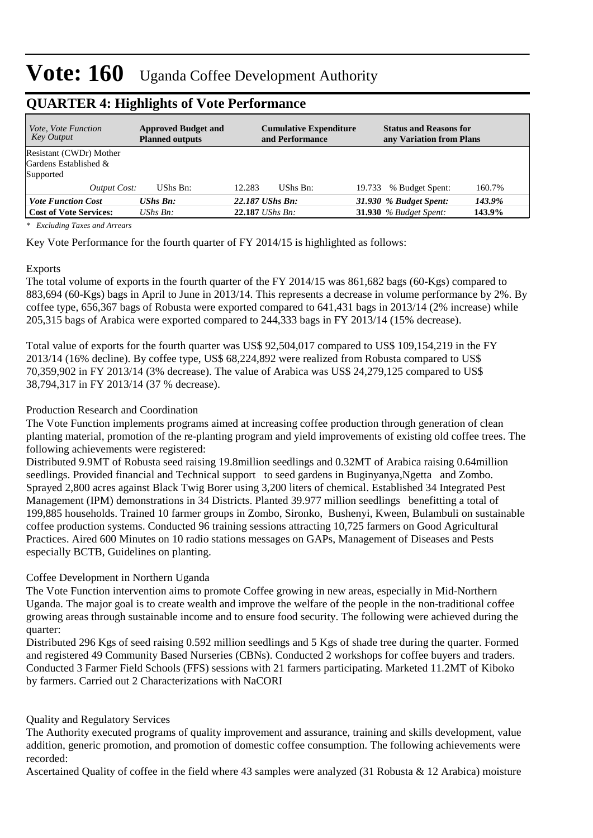| <i>Vote, Vote Function</i><br>Key Output | <b>Approved Budget and</b><br><b>Planned outputs</b> | <b>Cumulative Expenditure</b><br>and Performance | <b>Status and Reasons for</b><br>any Variation from Plans |        |
|------------------------------------------|------------------------------------------------------|--------------------------------------------------|-----------------------------------------------------------|--------|
| Resistant (CWDr) Mother                  |                                                      |                                                  |                                                           |        |
| Gardens Established &                    |                                                      |                                                  |                                                           |        |
| Supported                                |                                                      |                                                  |                                                           |        |
| Output Cost:                             | UShs Bn:                                             | 12.283<br>UShs Bn:                               | 19.733 % Budget Spent:                                    | 160.7% |
| <b>Vote Function Cost</b>                | <b>UShs Bn:</b>                                      | 22.187 UShs Bn:                                  | 31.930 % Budget Spent:                                    | 143.9% |
| <b>Cost of Vote Services:</b>            | UShs Bn:                                             | $22.187$ UShs Bn:                                | 31.930 $%$ Budget Spent:                                  | 143.9% |

#### **QUARTER 4: Highlights of Vote Performance**

*\* Excluding Taxes and Arrears*

Key Vote Performance for the fourth quarter of FY 2014/15 is highlighted as follows:

#### Exports

The total volume of exports in the fourth quarter of the FY 2014/15 was 861,682 bags (60-Kgs) compared to 883,694 (60-Kgs) bags in April to June in 2013/14. This represents a decrease in volume performance by 2%. By coffee type, 656,367 bags of Robusta were exported compared to 641,431 bags in 2013/14 (2% increase) while 205,315 bags of Arabica were exported compared to 244,333 bags in FY 2013/14 (15% decrease).

Total value of exports for the fourth quarter was US\$ 92,504,017 compared to US\$ 109,154,219 in the FY 2013/14 (16% decline). By coffee type, US\$ 68,224,892 were realized from Robusta compared to US\$ 70,359,902 in FY 2013/14 (3% decrease). The value of Arabica was US\$ 24,279,125 compared to US\$ 38,794,317 in FY 2013/14 (37 % decrease).

#### Production Research and Coordination

The Vote Function implements programs aimed at increasing coffee production through generation of clean planting material, promotion of the re-planting program and yield improvements of existing old coffee trees. The following achievements were registered:

Distributed 9.9MT of Robusta seed raising 19.8million seedlings and 0.32MT of Arabica raising 0.64million seedlings. Provided financial and Technical support to seed gardens in Buginyanya, Ngetta and Zombo. Sprayed 2,800 acres against Black Twig Borer using 3,200 liters of chemical. Established 34 Integrated Pest Management (IPM) demonstrations in 34 Districts. Planted 39.977 million seedlings benefitting a total of 199,885 households. Trained 10 farmer groups in Zombo, Sironko, Bushenyi, Kween, Bulambuli on sustainable coffee production systems. Conducted 96 training sessions attracting 10,725 farmers on Good Agricultural Practices. Aired 600 Minutes on 10 radio stations messages on GAPs, Management of Diseases and Pests especially BCTB, Guidelines on planting.

#### Coffee Development in Northern Uganda

The Vote Function intervention aims to promote Coffee growing in new areas, especially in Mid-Northern Uganda. The major goal is to create wealth and improve the welfare of the people in the non-traditional coffee growing areas through sustainable income and to ensure food security. The following were achieved during the quarter:

Distributed 296 Kgs of seed raising 0.592 million seedlings and 5 Kgs of shade tree during the quarter. Formed and registered 49 Community Based Nurseries (CBNs). Conducted 2 workshops for coffee buyers and traders. Conducted 3 Farmer Field Schools (FFS) sessions with 21 farmers participating. Marketed 11.2MT of Kiboko by farmers. Carried out 2 Characterizations with NaCORI

#### Quality and Regulatory Services

The Authority executed programs of quality improvement and assurance, training and skills development, value addition, generic promotion, and promotion of domestic coffee consumption. The following achievements were recorded:

Ascertained Quality of coffee in the field where 43 samples were analyzed (31 Robusta & 12 Arabica) moisture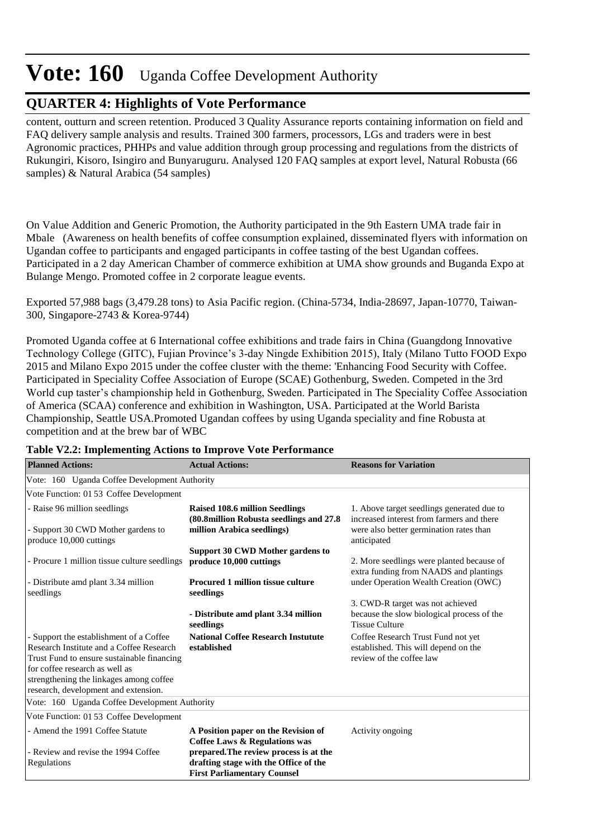#### **QUARTER 4: Highlights of Vote Performance**

content, outturn and screen retention. Produced 3 Quality Assurance reports containing information on field and FAQ delivery sample analysis and results. Trained 300 farmers, processors, LGs and traders were in best Agronomic practices, PHHPs and value addition through group processing and regulations from the districts of Rukungiri, Kisoro, Isingiro and Bunyaruguru. Analysed 120 FAQ samples at export level, Natural Robusta (66 samples) & Natural Arabica (54 samples)

On Value Addition and Generic Promotion, the Authority participated in the 9th Eastern UMA trade fair in Mbale (Awareness on health benefits of coffee consumption explained, disseminated flyers with information on Ugandan coffee to participants and engaged participants in coffee tasting of the best Ugandan coffees. Participated in a 2 day American Chamber of commerce exhibition at UMA show grounds and Buganda Expo at Bulange Mengo. Promoted coffee in 2 corporate league events.

Exported 57,988 bags (3,479.28 tons) to Asia Pacific region. (China-5734, India-28697, Japan-10770, Taiwan-300, Singapore-2743 & Korea-9744)

Promoted Uganda coffee at 6 International coffee exhibitions and trade fairs in China (Guangdong Innovative Technology College (GITC), Fujian Province's 3-day Ningde Exhibition 2015), Italy (Milano Tutto FOOD Expo 2015 and Milano Expo 2015 under the coffee cluster with the theme: 'Enhancing Food Security with Coffee. Participated in Speciality Coffee Association of Europe (SCAE) Gothenburg, Sweden. Competed in the 3rd World cup taster's championship held in Gothenburg, Sweden. Participated in The Speciality Coffee Association of America (SCAA) conference and exhibition in Washington, USA. Participated at the World Barista Championship, Seattle USA.Promoted Ugandan coffees by using Uganda speciality and fine Robusta at competition and at the brew bar of WBC

| <b>Planned Actions:</b>                                                                                                                                                                                                                                | <b>Actual Actions:</b>                                                                                                                                                                                   | <b>Reasons for Variation</b>                                                                                                                      |
|--------------------------------------------------------------------------------------------------------------------------------------------------------------------------------------------------------------------------------------------------------|----------------------------------------------------------------------------------------------------------------------------------------------------------------------------------------------------------|---------------------------------------------------------------------------------------------------------------------------------------------------|
| Vote: 160 Uganda Coffee Development Authority                                                                                                                                                                                                          |                                                                                                                                                                                                          |                                                                                                                                                   |
| Vote Function: 01 53 Coffee Development                                                                                                                                                                                                                |                                                                                                                                                                                                          |                                                                                                                                                   |
| - Raise 96 million seedlings<br>- Support 30 CWD Mother gardens to<br>produce 10,000 cuttings                                                                                                                                                          | <b>Raised 108.6 million Seedlings</b><br>(80.8million Robusta seedlings and 27.8<br>million Arabica seedlings)                                                                                           | 1. Above target seedlings generated due to<br>increased interest from farmers and there<br>were also better germination rates than<br>anticipated |
| - Procure 1 million tissue culture seedlings<br>- Distribute amd plant 3.34 million<br>seedlings                                                                                                                                                       | Support 30 CWD Mother gardens to<br>produce 10,000 cuttings<br><b>Procured 1 million tissue culture</b><br>seedlings                                                                                     | 2. More seedlings were planted because of<br>extra funding from NAADS and plantings<br>under Operation Wealth Creation (OWC)                      |
|                                                                                                                                                                                                                                                        | - Distribute amd plant 3.34 million<br>seedlings                                                                                                                                                         | 3. CWD-R target was not achieved<br>because the slow biological process of the<br><b>Tissue Culture</b>                                           |
| - Support the establishment of a Coffee<br>Research Institute and a Coffee Research<br>Trust Fund to ensure sustainable financing<br>for coffee research as well as<br>strengthening the linkages among coffee<br>research, development and extension. | <b>National Coffee Research Instutute</b><br>established                                                                                                                                                 | Coffee Research Trust Fund not yet<br>established. This will depend on the<br>review of the coffee law                                            |
| Vote: 160 Uganda Coffee Development Authority                                                                                                                                                                                                          |                                                                                                                                                                                                          |                                                                                                                                                   |
| Vote Function: 01 53 Coffee Development                                                                                                                                                                                                                |                                                                                                                                                                                                          |                                                                                                                                                   |
| - Amend the 1991 Coffee Statute<br>- Review and revise the 1994 Coffee<br>Regulations                                                                                                                                                                  | A Position paper on the Revision of<br><b>Coffee Laws &amp; Regulations was</b><br>prepared. The review process is at the<br>drafting stage with the Office of the<br><b>First Parliamentary Counsel</b> | Activity ongoing                                                                                                                                  |

#### **Table V2.2: Implementing Actions to Improve Vote Performance**